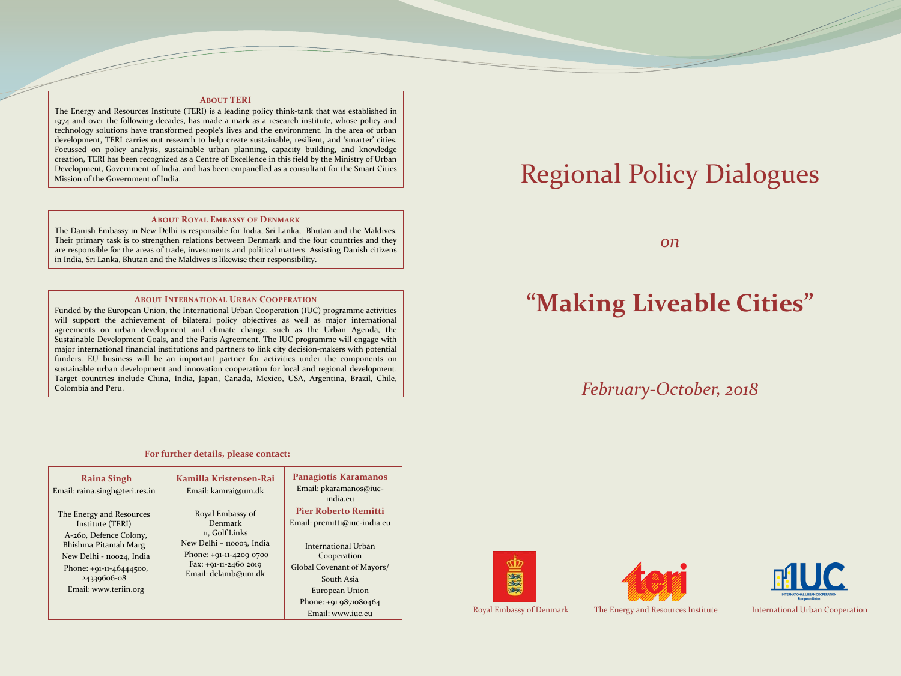#### **ABOUT TERI**

The Energy and Resources Institute (TERI) is a leading policy think-tank that was established in 1974 and over the following decades, has made a mark as a research institute, whose policy and technology solutions have transformed people's lives and the environment. In the area of urban development, TERI carries out research to help create sustainable, resilient, and 'smarter' cities. Focussed on policy analysis, sustainable urban planning, capacity building, and knowledge creation, TERI has been recognized as a Centre of Excellence in this field by the Ministry of Urban Development, Government of India, and has been empanelled as a consultant for the Smart Cities Mission of the Government of India.

#### **ABOUT ROYAL EMBASSY OF DENMARK**

The Danish Embassy in New Delhi is responsible for India, Sri Lanka, Bhutan and the Maldives. Their primary task is to strengthen relations between Denmark and the four countries and they are responsible for the areas of trade, investments and political matters. Assisting Danish citizens in India, Sri Lanka, Bhutan and the Maldives is likewise their responsibility.

#### **ABOUT INTERNATIONAL URBAN COOPERATION**

Funded by the European Union, the International Urban Cooperation (IUC) programme activities will support the achievement of bilateral policy objectives as well as major international agreements on urban development and climate change, such as the Urban Agenda, the Sustainable Development Goals, and the Paris Agreement. The IUC programme will engage with major international financial institutions and partners to link city decision-makers with potential funders. EU business will be an important partner for activities under the components on sustainable urban development and innovation cooperation for local and regional development. Target countries include China, India, Japan, Canada, Mexico, USA, Argentina, Brazil, Chile, Colombia and Peru.

# Regional Policy Dialogues

*on*

## **"Making Liveable Cities"**

### *February-October, 2018*



**For further details, please contact:**







Royal Embassy of Denmark The Energy and Resources Institute